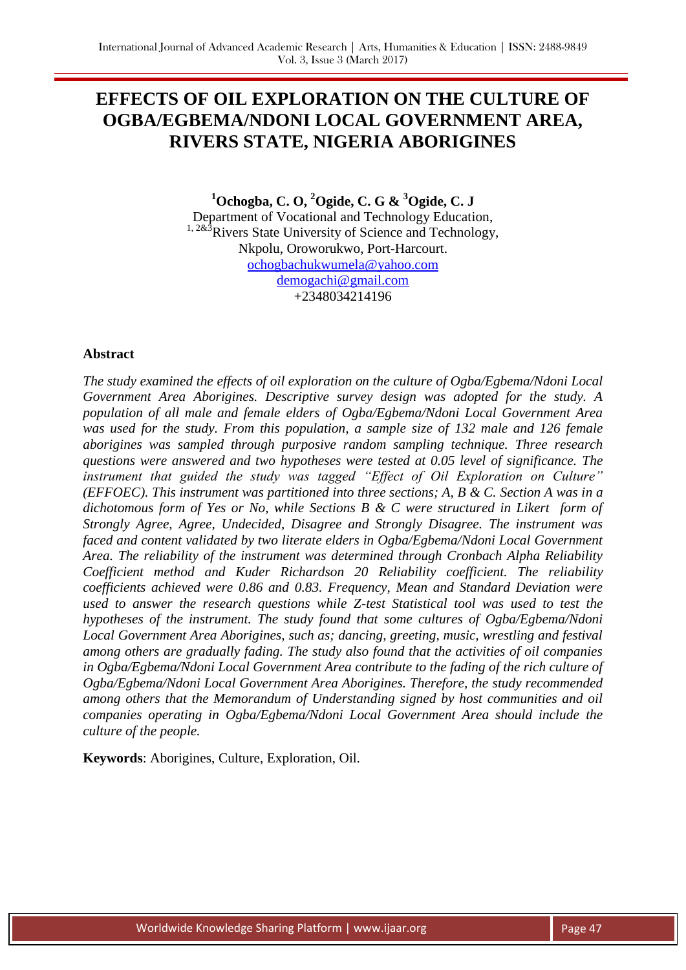# **EFFECTS OF OIL EXPLORATION ON THE CULTURE OF OGBA/EGBEMA/NDONI LOCAL GOVERNMENT AREA, RIVERS STATE, NIGERIA ABORIGINES**

**<sup>1</sup>Ochogba, C. O, <sup>2</sup>Ogide, C. G & <sup>3</sup>Ogide, C. J** Department of Vocational and Technology Education,  $1, 283$ Rivers State University of Science and Technology, Nkpolu, Oroworukwo, Port-Harcourt. [ochogbachukwumela@yahoo.com](mailto:ochogbachukwumela@yahoo.com) [demogachi@gmail.com](mailto:demogachi@gmail.com) +2348034214196

# **Abstract**

*The study examined the effects of oil exploration on the culture of Ogba/Egbema/Ndoni Local Government Area Aborigines. Descriptive survey design was adopted for the study. A population of all male and female elders of Ogba/Egbema/Ndoni Local Government Area was used for the study. From this population, a sample size of 132 male and 126 female aborigines was sampled through purposive random sampling technique. Three research questions were answered and two hypotheses were tested at 0.05 level of significance. The instrument that guided the study was tagged "Effect of Oil Exploration on Culture" (EFFOEC). This instrument was partitioned into three sections; A, B & C. Section A was in a dichotomous form of Yes or No, while Sections B & C were structured in Likert form of Strongly Agree, Agree, Undecided, Disagree and Strongly Disagree. The instrument was faced and content validated by two literate elders in Ogba/Egbema/Ndoni Local Government Area. The reliability of the instrument was determined through Cronbach Alpha Reliability Coefficient method and Kuder Richardson 20 Reliability coefficient. The reliability coefficients achieved were 0.86 and 0.83. Frequency, Mean and Standard Deviation were used to answer the research questions while Z-test Statistical tool was used to test the hypotheses of the instrument. The study found that some cultures of Ogba/Egbema/Ndoni Local Government Area Aborigines, such as; dancing, greeting, music, wrestling and festival among others are gradually fading. The study also found that the activities of oil companies in Ogba/Egbema/Ndoni Local Government Area contribute to the fading of the rich culture of Ogba/Egbema/Ndoni Local Government Area Aborigines. Therefore, the study recommended among others that the Memorandum of Understanding signed by host communities and oil companies operating in Ogba/Egbema/Ndoni Local Government Area should include the culture of the people.* 

**Keywords**: Aborigines, Culture, Exploration, Oil.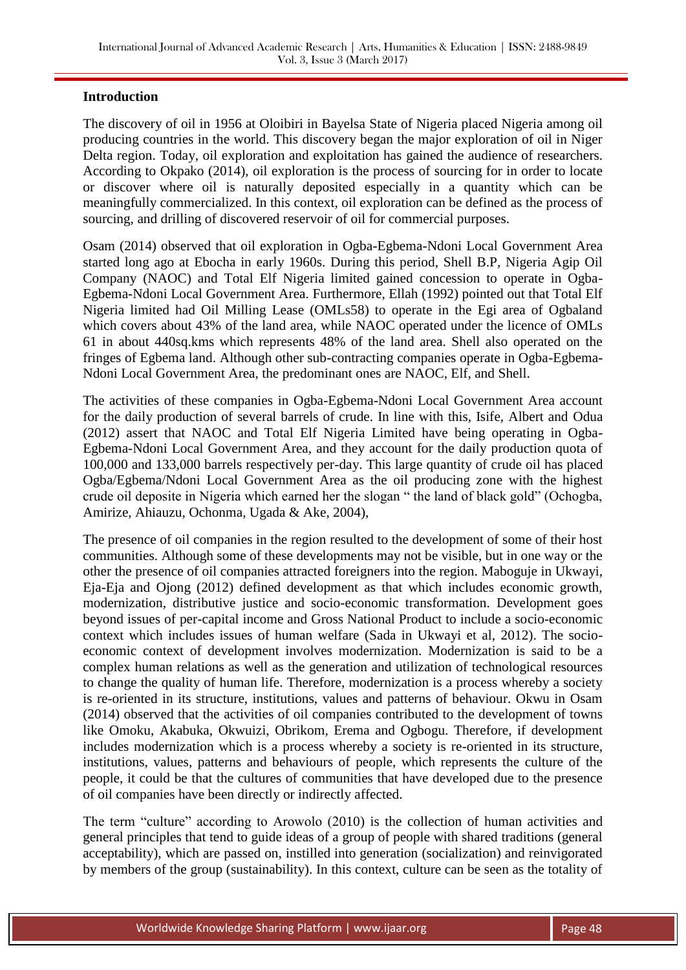## **Introduction**

The discovery of oil in 1956 at Oloibiri in Bayelsa State of Nigeria placed Nigeria among oil producing countries in the world. This discovery began the major exploration of oil in Niger Delta region. Today, oil exploration and exploitation has gained the audience of researchers. According to Okpako (2014), oil exploration is the process of sourcing for in order to locate or discover where oil is naturally deposited especially in a quantity which can be meaningfully commercialized. In this context, oil exploration can be defined as the process of sourcing, and drilling of discovered reservoir of oil for commercial purposes.

Osam (2014) observed that oil exploration in Ogba-Egbema-Ndoni Local Government Area started long ago at Ebocha in early 1960s. During this period, Shell B.P, Nigeria Agip Oil Company (NAOC) and Total Elf Nigeria limited gained concession to operate in Ogba-Egbema-Ndoni Local Government Area. Furthermore, Ellah (1992) pointed out that Total Elf Nigeria limited had Oil Milling Lease (OMLs58) to operate in the Egi area of Ogbaland which covers about 43% of the land area, while NAOC operated under the licence of OMLs 61 in about 440sq.kms which represents 48% of the land area. Shell also operated on the fringes of Egbema land. Although other sub-contracting companies operate in Ogba-Egbema-Ndoni Local Government Area, the predominant ones are NAOC, Elf, and Shell.

The activities of these companies in Ogba-Egbema-Ndoni Local Government Area account for the daily production of several barrels of crude. In line with this, Isife, Albert and Odua (2012) assert that NAOC and Total Elf Nigeria Limited have being operating in Ogba-Egbema-Ndoni Local Government Area, and they account for the daily production quota of 100,000 and 133,000 barrels respectively per-day. This large quantity of crude oil has placed Ogba/Egbema/Ndoni Local Government Area as the oil producing zone with the highest crude oil deposite in Nigeria which earned her the slogan " the land of black gold" (Ochogba, Amirize, Ahiauzu, Ochonma, Ugada & Ake, 2004),

The presence of oil companies in the region resulted to the development of some of their host communities. Although some of these developments may not be visible, but in one way or the other the presence of oil companies attracted foreigners into the region. Maboguje in Ukwayi, Eja-Eja and Ojong (2012) defined development as that which includes economic growth, modernization, distributive justice and socio-economic transformation. Development goes beyond issues of per-capital income and Gross National Product to include a socio-economic context which includes issues of human welfare (Sada in Ukwayi et al, 2012). The socioeconomic context of development involves modernization. Modernization is said to be a complex human relations as well as the generation and utilization of technological resources to change the quality of human life. Therefore, modernization is a process whereby a society is re-oriented in its structure, institutions, values and patterns of behaviour. Okwu in Osam (2014) observed that the activities of oil companies contributed to the development of towns like Omoku, Akabuka, Okwuizi, Obrikom, Erema and Ogbogu. Therefore, if development includes modernization which is a process whereby a society is re-oriented in its structure, institutions, values, patterns and behaviours of people, which represents the culture of the people, it could be that the cultures of communities that have developed due to the presence of oil companies have been directly or indirectly affected.

The term "culture" according to Arowolo (2010) is the collection of human activities and general principles that tend to guide ideas of a group of people with shared traditions (general acceptability), which are passed on, instilled into generation (socialization) and reinvigorated by members of the group (sustainability). In this context, culture can be seen as the totality of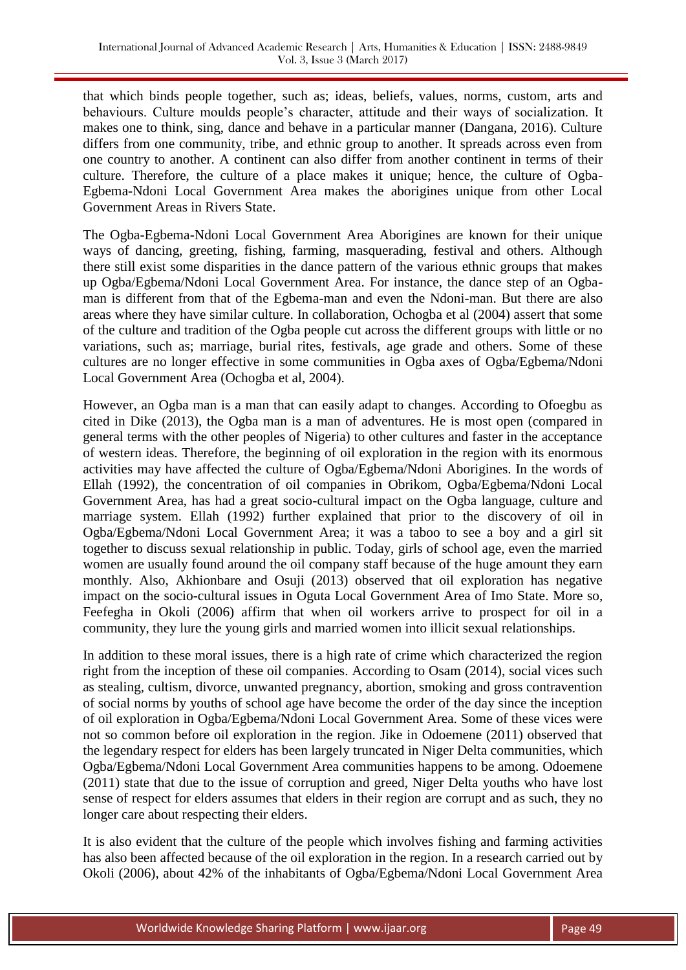that which binds people together, such as; ideas, beliefs, values, norms, custom, arts and behaviours. Culture moulds people's character, attitude and their ways of socialization. It makes one to think, sing, dance and behave in a particular manner (Dangana, 2016). Culture differs from one community, tribe, and ethnic group to another. It spreads across even from one country to another. A continent can also differ from another continent in terms of their culture. Therefore, the culture of a place makes it unique; hence, the culture of Ogba-Egbema-Ndoni Local Government Area makes the aborigines unique from other Local Government Areas in Rivers State.

The Ogba-Egbema-Ndoni Local Government Area Aborigines are known for their unique ways of dancing, greeting, fishing, farming, masquerading, festival and others. Although there still exist some disparities in the dance pattern of the various ethnic groups that makes up Ogba/Egbema/Ndoni Local Government Area. For instance, the dance step of an Ogbaman is different from that of the Egbema-man and even the Ndoni-man. But there are also areas where they have similar culture. In collaboration, Ochogba et al (2004) assert that some of the culture and tradition of the Ogba people cut across the different groups with little or no variations, such as; marriage, burial rites, festivals, age grade and others. Some of these cultures are no longer effective in some communities in Ogba axes of Ogba/Egbema/Ndoni Local Government Area (Ochogba et al, 2004).

However, an Ogba man is a man that can easily adapt to changes. According to Ofoegbu as cited in Dike (2013), the Ogba man is a man of adventures. He is most open (compared in general terms with the other peoples of Nigeria) to other cultures and faster in the acceptance of western ideas. Therefore, the beginning of oil exploration in the region with its enormous activities may have affected the culture of Ogba/Egbema/Ndoni Aborigines. In the words of Ellah (1992), the concentration of oil companies in Obrikom, Ogba/Egbema/Ndoni Local Government Area, has had a great socio-cultural impact on the Ogba language, culture and marriage system. Ellah (1992) further explained that prior to the discovery of oil in Ogba/Egbema/Ndoni Local Government Area; it was a taboo to see a boy and a girl sit together to discuss sexual relationship in public. Today, girls of school age, even the married women are usually found around the oil company staff because of the huge amount they earn monthly. Also, Akhionbare and Osuji (2013) observed that oil exploration has negative impact on the socio-cultural issues in Oguta Local Government Area of Imo State. More so, Feefegha in Okoli (2006) affirm that when oil workers arrive to prospect for oil in a community, they lure the young girls and married women into illicit sexual relationships.

In addition to these moral issues, there is a high rate of crime which characterized the region right from the inception of these oil companies. According to Osam (2014), social vices such as stealing, cultism, divorce, unwanted pregnancy, abortion, smoking and gross contravention of social norms by youths of school age have become the order of the day since the inception of oil exploration in Ogba/Egbema/Ndoni Local Government Area. Some of these vices were not so common before oil exploration in the region. Jike in Odoemene (2011) observed that the legendary respect for elders has been largely truncated in Niger Delta communities, which Ogba/Egbema/Ndoni Local Government Area communities happens to be among. Odoemene (2011) state that due to the issue of corruption and greed, Niger Delta youths who have lost sense of respect for elders assumes that elders in their region are corrupt and as such, they no longer care about respecting their elders.

It is also evident that the culture of the people which involves fishing and farming activities has also been affected because of the oil exploration in the region. In a research carried out by Okoli (2006), about 42% of the inhabitants of Ogba/Egbema/Ndoni Local Government Area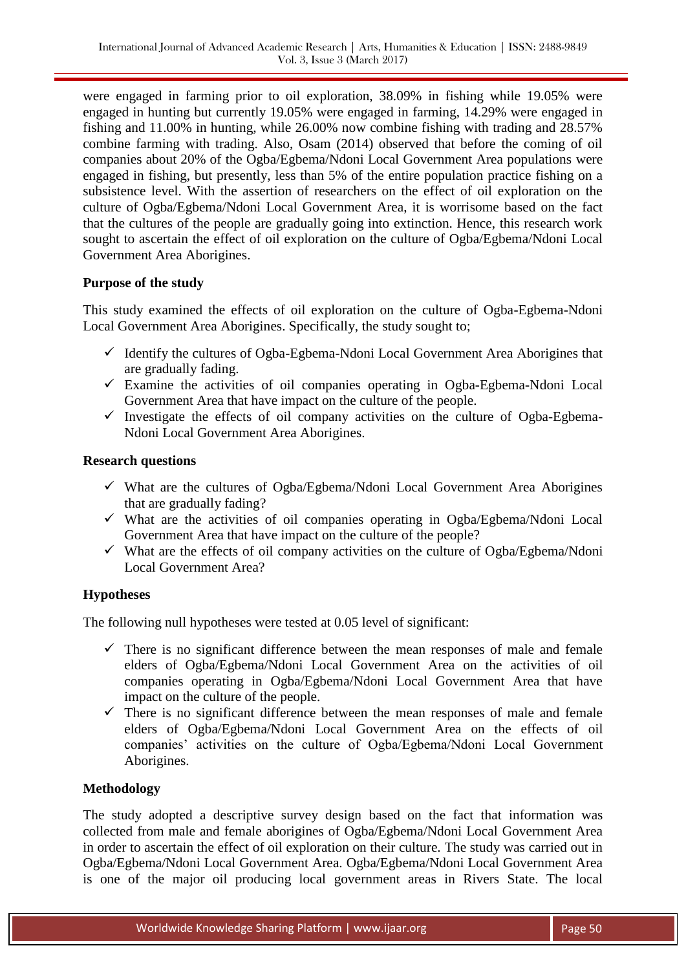were engaged in farming prior to oil exploration, 38.09% in fishing while 19.05% were engaged in hunting but currently 19.05% were engaged in farming, 14.29% were engaged in fishing and 11.00% in hunting, while 26.00% now combine fishing with trading and 28.57% combine farming with trading. Also, Osam (2014) observed that before the coming of oil companies about 20% of the Ogba/Egbema/Ndoni Local Government Area populations were engaged in fishing, but presently, less than 5% of the entire population practice fishing on a subsistence level. With the assertion of researchers on the effect of oil exploration on the culture of Ogba/Egbema/Ndoni Local Government Area, it is worrisome based on the fact that the cultures of the people are gradually going into extinction. Hence, this research work sought to ascertain the effect of oil exploration on the culture of Ogba/Egbema/Ndoni Local Government Area Aborigines.

# **Purpose of the study**

This study examined the effects of oil exploration on the culture of Ogba-Egbema-Ndoni Local Government Area Aborigines. Specifically, the study sought to;

- $\checkmark$  Identify the cultures of Ogba-Egbema-Ndoni Local Government Area Aborigines that are gradually fading.
- $\checkmark$  Examine the activities of oil companies operating in Ogba-Egbema-Ndoni Local Government Area that have impact on the culture of the people.
- $\checkmark$  Investigate the effects of oil company activities on the culture of Ogba-Egbema-Ndoni Local Government Area Aborigines.

## **Research questions**

- $\checkmark$  What are the cultures of Ogba/Egbema/Ndoni Local Government Area Aborigines that are gradually fading?
- $\checkmark$  What are the activities of oil companies operating in Ogba/Egbema/Ndoni Local Government Area that have impact on the culture of the people?
- $\checkmark$  What are the effects of oil company activities on the culture of Ogba/Egbema/Ndoni Local Government Area?

# **Hypotheses**

The following null hypotheses were tested at 0.05 level of significant:

- $\checkmark$  There is no significant difference between the mean responses of male and female elders of Ogba/Egbema/Ndoni Local Government Area on the activities of oil companies operating in Ogba/Egbema/Ndoni Local Government Area that have impact on the culture of the people.
- $\checkmark$  There is no significant difference between the mean responses of male and female elders of Ogba/Egbema/Ndoni Local Government Area on the effects of oil companies' activities on the culture of Ogba/Egbema/Ndoni Local Government Aborigines.

# **Methodology**

The study adopted a descriptive survey design based on the fact that information was collected from male and female aborigines of Ogba/Egbema/Ndoni Local Government Area in order to ascertain the effect of oil exploration on their culture. The study was carried out in Ogba/Egbema/Ndoni Local Government Area. Ogba/Egbema/Ndoni Local Government Area is one of the major oil producing local government areas in Rivers State. The local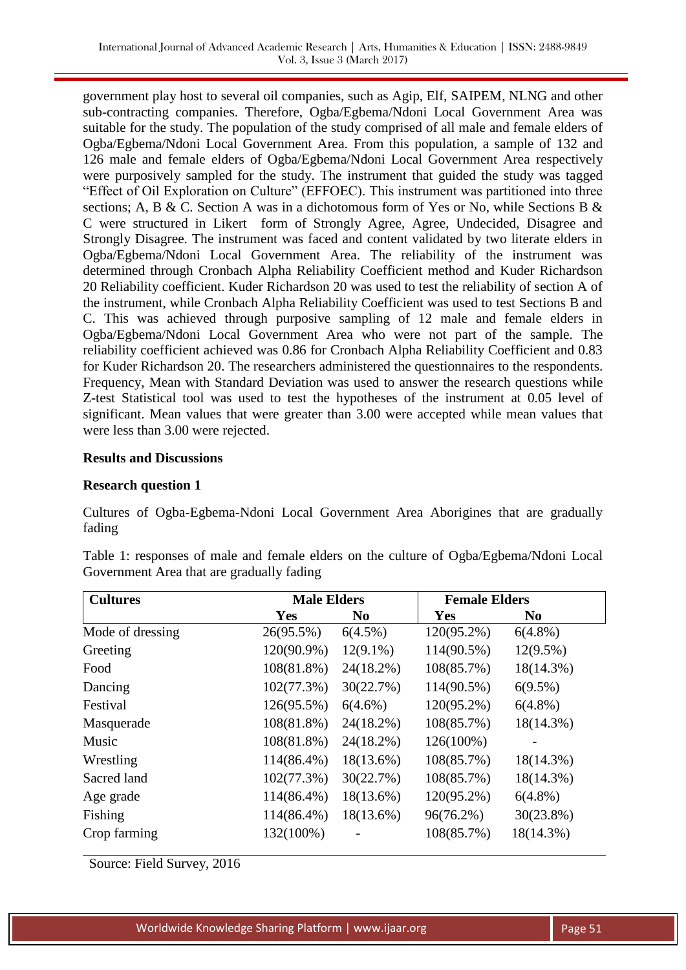government play host to several oil companies, such as Agip, Elf, SAIPEM, NLNG and other sub-contracting companies. Therefore, Ogba/Egbema/Ndoni Local Government Area was suitable for the study. The population of the study comprised of all male and female elders of Ogba/Egbema/Ndoni Local Government Area. From this population, a sample of 132 and 126 male and female elders of Ogba/Egbema/Ndoni Local Government Area respectively were purposively sampled for the study. The instrument that guided the study was tagged "Effect of Oil Exploration on Culture" (EFFOEC). This instrument was partitioned into three sections; A, B & C. Section A was in a dichotomous form of Yes or No, while Sections B & C were structured in Likert form of Strongly Agree, Agree, Undecided, Disagree and Strongly Disagree. The instrument was faced and content validated by two literate elders in Ogba/Egbema/Ndoni Local Government Area. The reliability of the instrument was determined through Cronbach Alpha Reliability Coefficient method and Kuder Richardson 20 Reliability coefficient. Kuder Richardson 20 was used to test the reliability of section A of the instrument, while Cronbach Alpha Reliability Coefficient was used to test Sections B and C. This was achieved through purposive sampling of 12 male and female elders in Ogba/Egbema/Ndoni Local Government Area who were not part of the sample. The reliability coefficient achieved was 0.86 for Cronbach Alpha Reliability Coefficient and 0.83 for Kuder Richardson 20. The researchers administered the questionnaires to the respondents. Frequency, Mean with Standard Deviation was used to answer the research questions while Z-test Statistical tool was used to test the hypotheses of the instrument at 0.05 level of significant. Mean values that were greater than 3.00 were accepted while mean values that were less than 3.00 were rejected.

## **Results and Discussions**

## **Research question 1**

Cultures of Ogba-Egbema-Ndoni Local Government Area Aborigines that are gradually fading

| <b>Cultures</b>  | <b>Male Elders</b> |                | <b>Female Elders</b> |                |
|------------------|--------------------|----------------|----------------------|----------------|
|                  | Yes                | N <sub>0</sub> | Yes                  | N <sub>0</sub> |
| Mode of dressing | 26(95.5%)          | $6(4.5\%)$     | 120(95.2%)           | $6(4.8\%)$     |
| Greeting         | 120(90.9%)         | $12(9.1\%)$    | 114(90.5%)           | $12(9.5\%)$    |
| Food             | $108(81.8\%)$      | $24(18.2\%)$   | 108(85.7%)           | 18(14.3%)      |
| Dancing          | 102(77.3%)         | 30(22.7%)      | 114(90.5%)           | $6(9.5\%)$     |
| Festival         | 126(95.5%)         | $6(4.6\%)$     | 120(95.2%)           | $6(4.8\%)$     |
| Masquerade       | 108(81.8%)         | $24(18.2\%)$   | 108(85.7%)           | 18(14.3%)      |
| Music            | 108(81.8%)         | $24(18.2\%)$   | 126(100%)            |                |
| Wrestling        | 114(86.4%)         | 18(13.6%)      | 108(85.7%)           | $18(14.3\%)$   |
| Sacred land      | 102(77.3%)         | 30(22.7%)      | 108(85.7%)           | $18(14.3\%)$   |
| Age grade        | 114(86.4%)         | 18(13.6%)      | 120(95.2%)           | $6(4.8\%)$     |
| Fishing          | 114(86.4%)         | $18(13.6\%)$   | 96(76.2%)            | $30(23.8\%)$   |
| Crop farming     | 132(100%)          |                | 108(85.7%)           | 18(14.3%)      |

Table 1: responses of male and female elders on the culture of Ogba/Egbema/Ndoni Local Government Area that are gradually fading

Source: Field Survey, 2016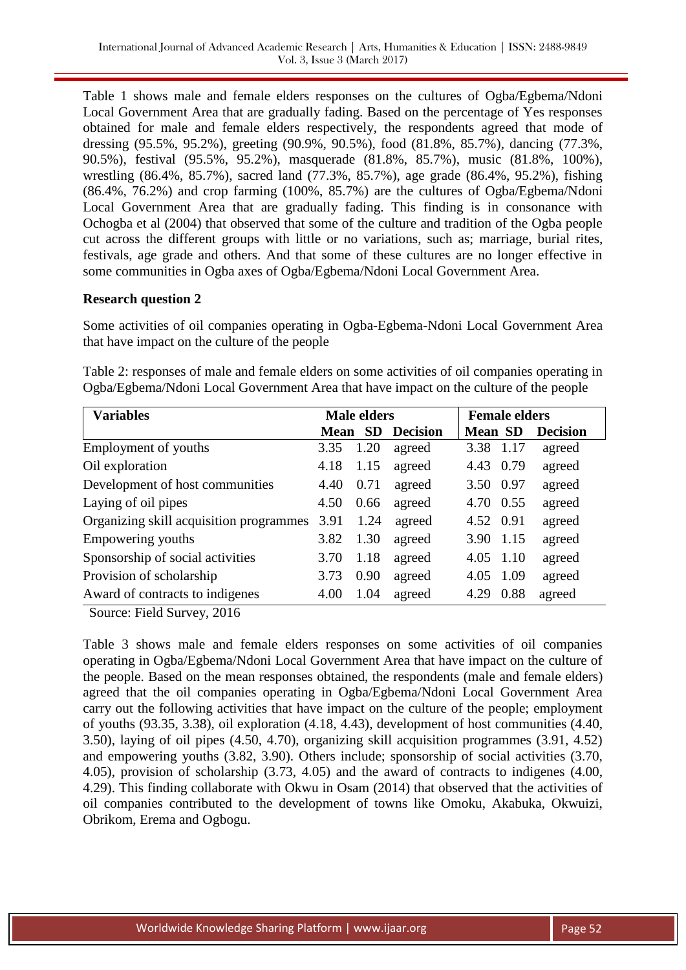Table 1 shows male and female elders responses on the cultures of Ogba/Egbema/Ndoni Local Government Area that are gradually fading. Based on the percentage of Yes responses obtained for male and female elders respectively, the respondents agreed that mode of dressing (95.5%, 95.2%), greeting (90.9%, 90.5%), food (81.8%, 85.7%), dancing (77.3%, 90.5%), festival (95.5%, 95.2%), masquerade (81.8%, 85.7%), music (81.8%, 100%), wrestling (86.4%, 85.7%), sacred land (77.3%, 85.7%), age grade (86.4%, 95.2%), fishing (86.4%, 76.2%) and crop farming (100%, 85.7%) are the cultures of Ogba/Egbema/Ndoni Local Government Area that are gradually fading. This finding is in consonance with Ochogba et al (2004) that observed that some of the culture and tradition of the Ogba people cut across the different groups with little or no variations, such as; marriage, burial rites, festivals, age grade and others. And that some of these cultures are no longer effective in some communities in Ogba axes of Ogba/Egbema/Ndoni Local Government Area.

## **Research question 2**

Some activities of oil companies operating in Ogba-Egbema-Ndoni Local Government Area that have impact on the culture of the people

Table 2: responses of male and female elders on some activities of oil companies operating in Ogba/Egbema/Ndoni Local Government Area that have impact on the culture of the people

| <b>Variables</b>                        | <b>Male elders</b> |           |                 | <b>Female elders</b> |      |                 |
|-----------------------------------------|--------------------|-----------|-----------------|----------------------|------|-----------------|
|                                         | Mean               | <b>SD</b> | <b>Decision</b> | <b>Mean SD</b>       |      | <b>Decision</b> |
| Employment of youths                    | 3.35               | 1.20      | agreed          | 3.38                 | 1.17 | agreed          |
| Oil exploration                         | 4.18               | 1.15      | agreed          | 4.43                 | 0.79 | agreed          |
| Development of host communities         | 4.40               | 0.71      | agreed          | 3.50 0.97            |      | agreed          |
| Laying of oil pipes                     | 4.50               | 0.66      | agreed          | 4.70 0.55            |      | agreed          |
| Organizing skill acquisition programmes | 3.91               | 1.24      | agreed          | 4.52 0.91            |      | agreed          |
| Empowering youths                       | 3.82               | 1.30      | agreed          | 3.90                 | 1.15 | agreed          |
| Sponsorship of social activities        | 3.70               | 1.18      | agreed          | 4.05 1.10            |      | agreed          |
| Provision of scholarship                | 3.73               | 0.90      | agreed          | 4.05                 | 1.09 | agreed          |
| Award of contracts to indigenes         | 4.00               | 1.04      | agreed          | 4.29                 | 0.88 | agreed          |

Source: Field Survey, 2016

Table 3 shows male and female elders responses on some activities of oil companies operating in Ogba/Egbema/Ndoni Local Government Area that have impact on the culture of the people. Based on the mean responses obtained, the respondents (male and female elders) agreed that the oil companies operating in Ogba/Egbema/Ndoni Local Government Area carry out the following activities that have impact on the culture of the people; employment of youths (93.35, 3.38), oil exploration (4.18, 4.43), development of host communities (4.40, 3.50), laying of oil pipes (4.50, 4.70), organizing skill acquisition programmes (3.91, 4.52) and empowering youths (3.82, 3.90). Others include; sponsorship of social activities (3.70, 4.05), provision of scholarship (3.73, 4.05) and the award of contracts to indigenes (4.00, 4.29). This finding collaborate with Okwu in Osam (2014) that observed that the activities of oil companies contributed to the development of towns like Omoku, Akabuka, Okwuizi, Obrikom, Erema and Ogbogu.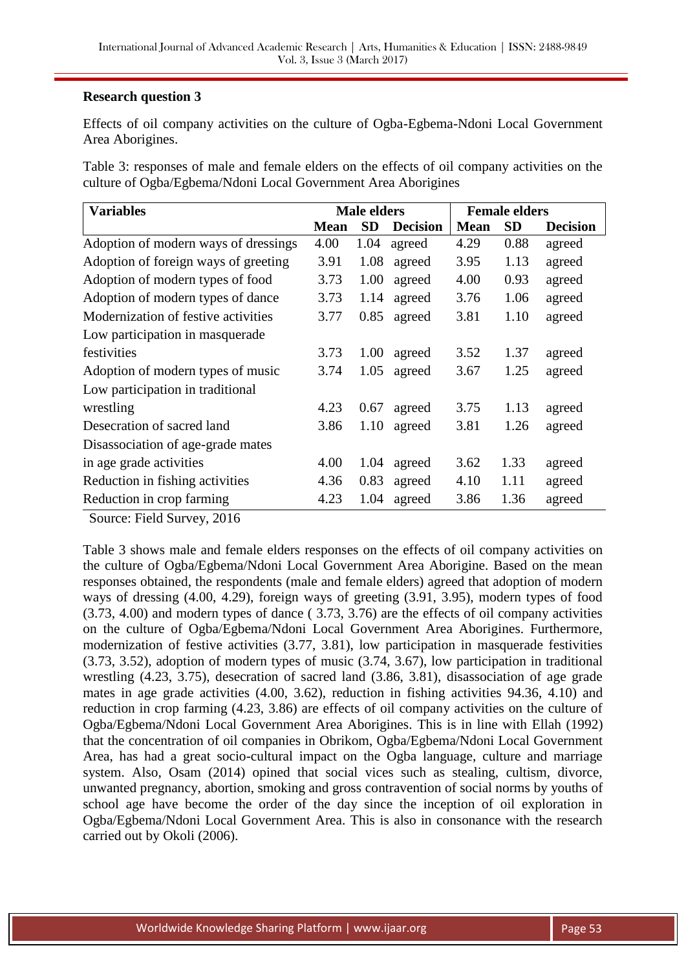## **Research question 3**

Effects of oil company activities on the culture of Ogba-Egbema-Ndoni Local Government Area Aborigines.

Table 3: responses of male and female elders on the effects of oil company activities on the culture of Ogba/Egbema/Ndoni Local Government Area Aborigines

| <b>Variables</b>                     | <b>Male elders</b> |      |                 | <b>Female elders</b> |           |                 |  |
|--------------------------------------|--------------------|------|-----------------|----------------------|-----------|-----------------|--|
|                                      | <b>Mean</b>        | SD   | <b>Decision</b> | <b>Mean</b>          | <b>SD</b> | <b>Decision</b> |  |
| Adoption of modern ways of dressings | 4.00               | 1.04 | agreed          | 4.29                 | 0.88      | agreed          |  |
| Adoption of foreign ways of greeting | 3.91               | 1.08 | agreed          | 3.95                 | 1.13      | agreed          |  |
| Adoption of modern types of food     | 3.73               | 1.00 | agreed          | 4.00                 | 0.93      | agreed          |  |
| Adoption of modern types of dance    | 3.73               | 1.14 | agreed          | 3.76                 | 1.06      | agreed          |  |
| Modernization of festive activities  | 3.77               | 0.85 | agreed          | 3.81                 | 1.10      | agreed          |  |
| Low participation in masquerade      |                    |      |                 |                      |           |                 |  |
| festivities                          | 3.73               | 1.00 | agreed          | 3.52                 | 1.37      | agreed          |  |
| Adoption of modern types of music    | 3.74               | 1.05 | agreed          | 3.67                 | 1.25      | agreed          |  |
| Low participation in traditional     |                    |      |                 |                      |           |                 |  |
| wrestling                            | 4.23               | 0.67 | agreed          | 3.75                 | 1.13      | agreed          |  |
| Desecration of sacred land           | 3.86               | 1.10 | agreed          | 3.81                 | 1.26      | agreed          |  |
| Disassociation of age-grade mates    |                    |      |                 |                      |           |                 |  |
| in age grade activities              | 4.00               | 1.04 | agreed          | 3.62                 | 1.33      | agreed          |  |
| Reduction in fishing activities      | 4.36               | 0.83 | agreed          | 4.10                 | 1.11      | agreed          |  |
| Reduction in crop farming            | 4.23               | 1.04 | agreed          | 3.86                 | 1.36      | agreed          |  |

Source: Field Survey, 2016

Table 3 shows male and female elders responses on the effects of oil company activities on the culture of Ogba/Egbema/Ndoni Local Government Area Aborigine. Based on the mean responses obtained, the respondents (male and female elders) agreed that adoption of modern ways of dressing (4.00, 4.29), foreign ways of greeting (3.91, 3.95), modern types of food (3.73, 4.00) and modern types of dance ( 3.73, 3.76) are the effects of oil company activities on the culture of Ogba/Egbema/Ndoni Local Government Area Aborigines. Furthermore, modernization of festive activities (3.77, 3.81), low participation in masquerade festivities (3.73, 3.52), adoption of modern types of music (3.74, 3.67), low participation in traditional wrestling (4.23, 3.75), desecration of sacred land (3.86, 3.81), disassociation of age grade mates in age grade activities (4.00, 3.62), reduction in fishing activities 94.36, 4.10) and reduction in crop farming (4.23, 3.86) are effects of oil company activities on the culture of Ogba/Egbema/Ndoni Local Government Area Aborigines. This is in line with Ellah (1992) that the concentration of oil companies in Obrikom, Ogba/Egbema/Ndoni Local Government Area, has had a great socio-cultural impact on the Ogba language, culture and marriage system. Also, Osam (2014) opined that social vices such as stealing, cultism, divorce, unwanted pregnancy, abortion, smoking and gross contravention of social norms by youths of school age have become the order of the day since the inception of oil exploration in Ogba/Egbema/Ndoni Local Government Area. This is also in consonance with the research carried out by Okoli (2006).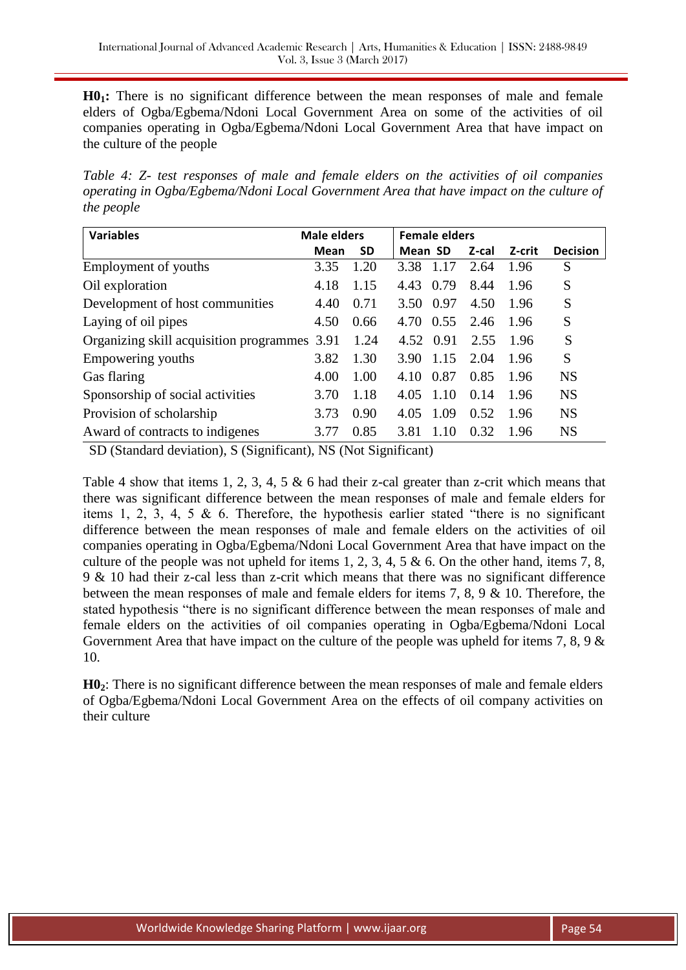**H01:** There is no significant difference between the mean responses of male and female elders of Ogba/Egbema/Ndoni Local Government Area on some of the activities of oil companies operating in Ogba/Egbema/Ndoni Local Government Area that have impact on the culture of the people

*Table 4: Z- test responses of male and female elders on the activities of oil companies operating in Ogba/Egbema/Ndoni Local Government Area that have impact on the culture of the people*

| <b>Variables</b>                             | <b>Male elders</b> | <b>Female elders</b> |         |      |       |        |                 |
|----------------------------------------------|--------------------|----------------------|---------|------|-------|--------|-----------------|
|                                              | <b>Mean</b>        | <b>SD</b>            | Mean SD |      | Z-cal | Z-crit | <b>Decision</b> |
| Employment of youths                         | 3.35               | 1.20                 | 3.38    | 1.17 | 2.64  | 1.96   | S               |
| Oil exploration                              | 4.18               | 1.15                 | 4.43    | 0.79 | 8.44  | 1.96   | S               |
| Development of host communities              | 4.40               | 0.71                 | 3.50    | 0.97 | 4.50  | 1.96   | S               |
| Laying of oil pipes                          | 4.50               | 0.66                 | 4.70    | 0.55 | 2.46  | 1.96   | S               |
| Organizing skill acquisition programmes 3.91 |                    | 1.24                 | 4.52    | 0.91 | 2.55  | 1.96   | S               |
| Empowering youths                            | 3.82               | 1.30                 | 3.90    | 1.15 | 2.04  | 1.96   | S               |
| Gas flaring                                  | 4.00               | 1.00                 | 4.10    | 0.87 | 0.85  | 1.96   | <b>NS</b>       |
| Sponsorship of social activities             | 3.70               | 1.18                 | 4.05    | 1.10 | 0.14  | 1.96   | <b>NS</b>       |
| Provision of scholarship                     | 3.73               | 0.90                 | 4.05    | 1.09 | 0.52  | 1.96   | <b>NS</b>       |
| Award of contracts to indigenes              | 3.77               | 0.85                 | 3.81    | 1.10 | 0.32  | 1.96   | <b>NS</b>       |

SD (Standard deviation), S (Significant), NS (Not Significant)

Table 4 show that items 1, 2, 3, 4, 5  $\&$  6 had their z-cal greater than z-crit which means that there was significant difference between the mean responses of male and female elders for items 1, 2, 3, 4, 5 & 6. Therefore, the hypothesis earlier stated "there is no significant difference between the mean responses of male and female elders on the activities of oil companies operating in Ogba/Egbema/Ndoni Local Government Area that have impact on the culture of the people was not upheld for items 1, 2, 3, 4, 5  $\&$  6. On the other hand, items 7, 8, 9 & 10 had their z-cal less than z-crit which means that there was no significant difference between the mean responses of male and female elders for items 7, 8, 9 & 10. Therefore, the stated hypothesis "there is no significant difference between the mean responses of male and female elders on the activities of oil companies operating in Ogba/Egbema/Ndoni Local Government Area that have impact on the culture of the people was upheld for items 7, 8, 9  $\&$ 10.

**H02**: There is no significant difference between the mean responses of male and female elders of Ogba/Egbema/Ndoni Local Government Area on the effects of oil company activities on their culture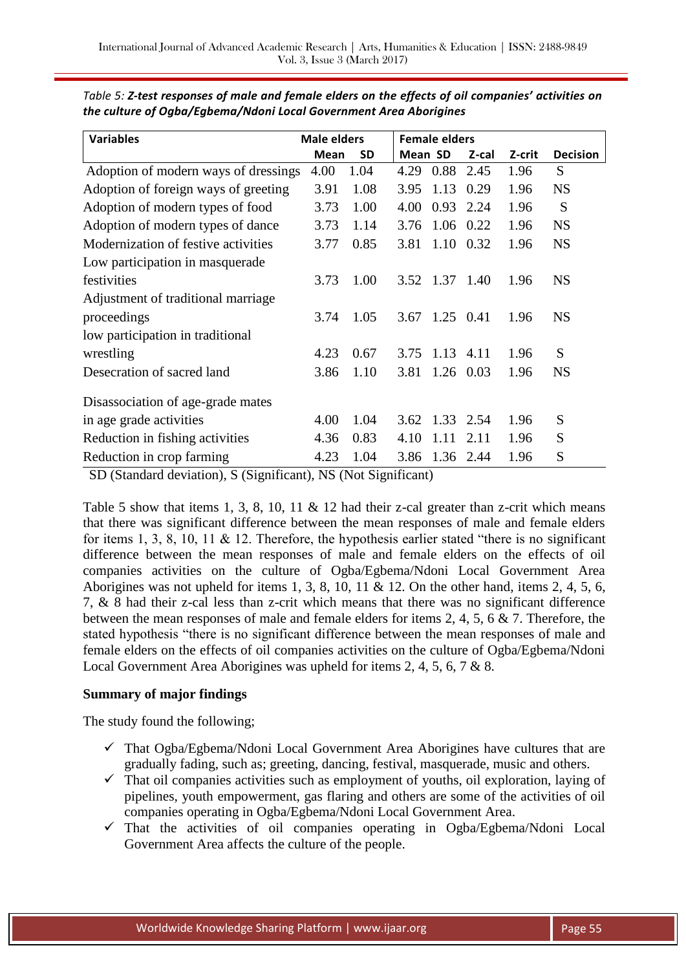| <b>Variables</b>                     | <b>Male elders</b> |           |         | <b>Female elders</b> |           |        |                 |
|--------------------------------------|--------------------|-----------|---------|----------------------|-----------|--------|-----------------|
|                                      | Mean               | <b>SD</b> | Mean SD |                      | Z-cal     | Z-crit | <b>Decision</b> |
| Adoption of modern ways of dressings | 4.00               | 1.04      | 4.29    |                      | 0.88 2.45 | 1.96   | S               |
| Adoption of foreign ways of greeting | 3.91               | 1.08      | 3.95    | 1.13                 | 0.29      | 1.96   | <b>NS</b>       |
| Adoption of modern types of food     | 3.73               | 1.00      | 4.00    |                      | 0.93 2.24 | 1.96   | S               |
| Adoption of modern types of dance    | 3.73               | 1.14      | 3.76    | 1.06 0.22            |           | 1.96   | <b>NS</b>       |
| Modernization of festive activities  | 3.77               | 0.85      | 3.81    | $1.10 \quad 0.32$    |           | 1.96   | <b>NS</b>       |
| Low participation in masquerade      |                    |           |         |                      |           |        |                 |
| festivities                          | 3.73               | 1.00      |         | 3.52 1.37 1.40       |           | 1.96   | <b>NS</b>       |
| Adjustment of traditional marriage   |                    |           |         |                      |           |        |                 |
| proceedings                          | 3.74               | 1.05      | 3.67    | $1.25 \quad 0.41$    |           | 1.96   | <b>NS</b>       |
| low participation in traditional     |                    |           |         |                      |           |        |                 |
| wrestling                            | 4.23               | 0.67      | 3.75    | $1.13$ 4.11          |           | 1.96   | S               |
| Desecration of sacred land           | 3.86               | 1.10      | 3.81    | 1.26 0.03            |           | 1.96   | <b>NS</b>       |
| Disassociation of age-grade mates    |                    |           |         |                      |           |        |                 |
| in age grade activities              | 4.00               | 1.04      | 3.62    | 1.33 2.54            |           | 1.96   | S               |
| Reduction in fishing activities      | 4.36               | 0.83      | 4.10    | 1.11                 | 2.11      | 1.96   | S               |
| Reduction in crop farming            | 4.23               | 1.04      | 3.86    | 1.36 2.44            |           | 1.96   | S               |

*Table 5: Z-test responses of male and female elders on the effects of oil companies' activities on the culture of Ogba/Egbema/Ndoni Local Government Area Aborigines*

SD (Standard deviation), S (Significant), NS (Not Significant)

Table 5 show that items 1, 3, 8, 10, 11 & 12 had their z-cal greater than z-crit which means that there was significant difference between the mean responses of male and female elders for items 1, 3, 8, 10, 11 & 12. Therefore, the hypothesis earlier stated "there is no significant difference between the mean responses of male and female elders on the effects of oil companies activities on the culture of Ogba/Egbema/Ndoni Local Government Area Aborigines was not upheld for items 1, 3, 8, 10, 11 & 12. On the other hand, items 2, 4, 5, 6, 7, & 8 had their z-cal less than z-crit which means that there was no significant difference between the mean responses of male and female elders for items 2, 4, 5, 6 & 7. Therefore, the stated hypothesis "there is no significant difference between the mean responses of male and female elders on the effects of oil companies activities on the culture of Ogba/Egbema/Ndoni Local Government Area Aborigines was upheld for items 2, 4, 5, 6, 7 & 8.

## **Summary of major findings**

The study found the following;

- $\checkmark$  That Ogba/Egbema/Ndoni Local Government Area Aborigines have cultures that are gradually fading, such as; greeting, dancing, festival, masquerade, music and others.
- $\checkmark$  That oil companies activities such as employment of youths, oil exploration, laying of pipelines, youth empowerment, gas flaring and others are some of the activities of oil companies operating in Ogba/Egbema/Ndoni Local Government Area.
- $\checkmark$  That the activities of oil companies operating in Ogba/Egbema/Ndoni Local Government Area affects the culture of the people.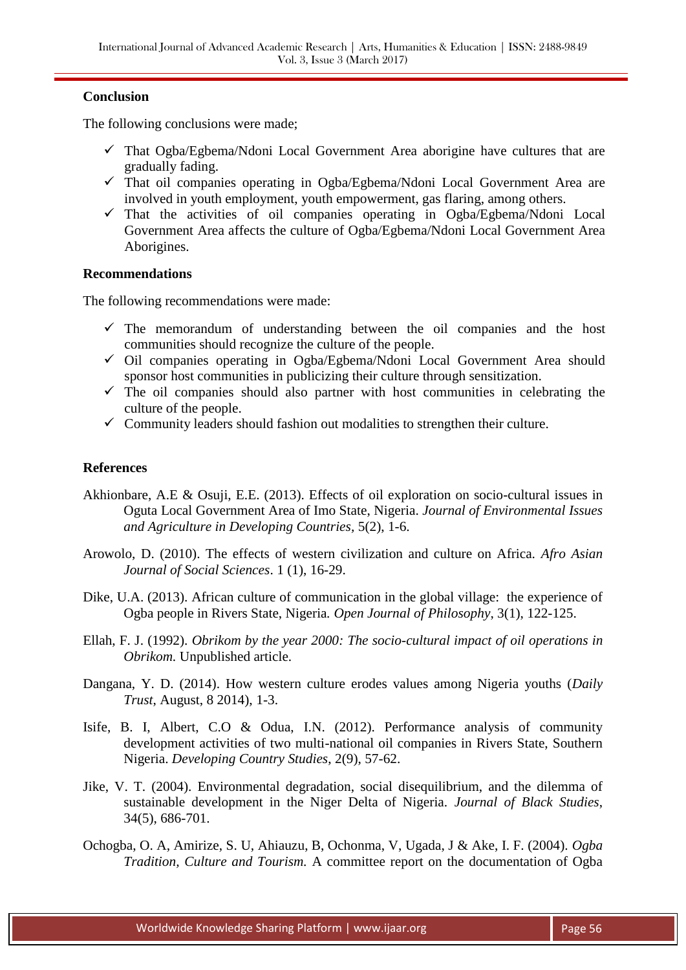## **Conclusion**

The following conclusions were made;

- $\checkmark$  That Ogba/Egbema/Ndoni Local Government Area aborigine have cultures that are gradually fading.
- $\checkmark$  That oil companies operating in Ogba/Egbema/Ndoni Local Government Area are involved in youth employment, youth empowerment, gas flaring, among others.
- $\checkmark$  That the activities of oil companies operating in Ogba/Egbema/Ndoni Local Government Area affects the culture of Ogba/Egbema/Ndoni Local Government Area Aborigines.

#### **Recommendations**

The following recommendations were made:

- $\checkmark$  The memorandum of understanding between the oil companies and the host communities should recognize the culture of the people.
- $\checkmark$  Oil companies operating in Ogba/Egbema/Ndoni Local Government Area should sponsor host communities in publicizing their culture through sensitization.
- $\checkmark$  The oil companies should also partner with host communities in celebrating the culture of the people.
- $\checkmark$  Community leaders should fashion out modalities to strengthen their culture.

#### **References**

- Akhionbare, A.E & Osuji, E.E. (2013). Effects of oil exploration on socio-cultural issues in Oguta Local Government Area of Imo State, Nigeria. *Journal of Environmental Issues and Agriculture in Developing Countries,* 5(2), 1-6.
- Arowolo, D. (2010). The effects of western civilization and culture on Africa. *Afro Asian Journal of Social Sciences*. 1 (1), 16-29.
- Dike, U.A. (2013). African culture of communication in the global village: the experience of Ogba people in Rivers State, Nigeria*. Open Journal of Philosophy*, 3(1), 122-125.
- Ellah, F. J. (1992). *Obrikom by the year 2000: The socio-cultural impact of oil operations in Obrikom.* Unpublished article.
- Dangana, Y. D. (2014). How western culture erodes values among Nigeria youths (*Daily Trust*, August, 8 2014), 1-3.
- Isife, B. I, Albert, C.O & Odua, I.N. (2012). Performance analysis of community development activities of two multi-national oil companies in Rivers State, Southern Nigeria. *Developing Country Studies*, 2(9), 57-62.
- Jike, V. T. (2004). Environmental degradation, social disequilibrium, and the dilemma of sustainable development in the Niger Delta of Nigeria. *Journal of Black Studies*, 34(5), 686-701.
- Ochogba, O. A, Amirize, S. U, Ahiauzu, B, Ochonma, V, Ugada, J & Ake, I. F. (2004). *Ogba Tradition, Culture and Tourism.* A committee report on the documentation of Ogba